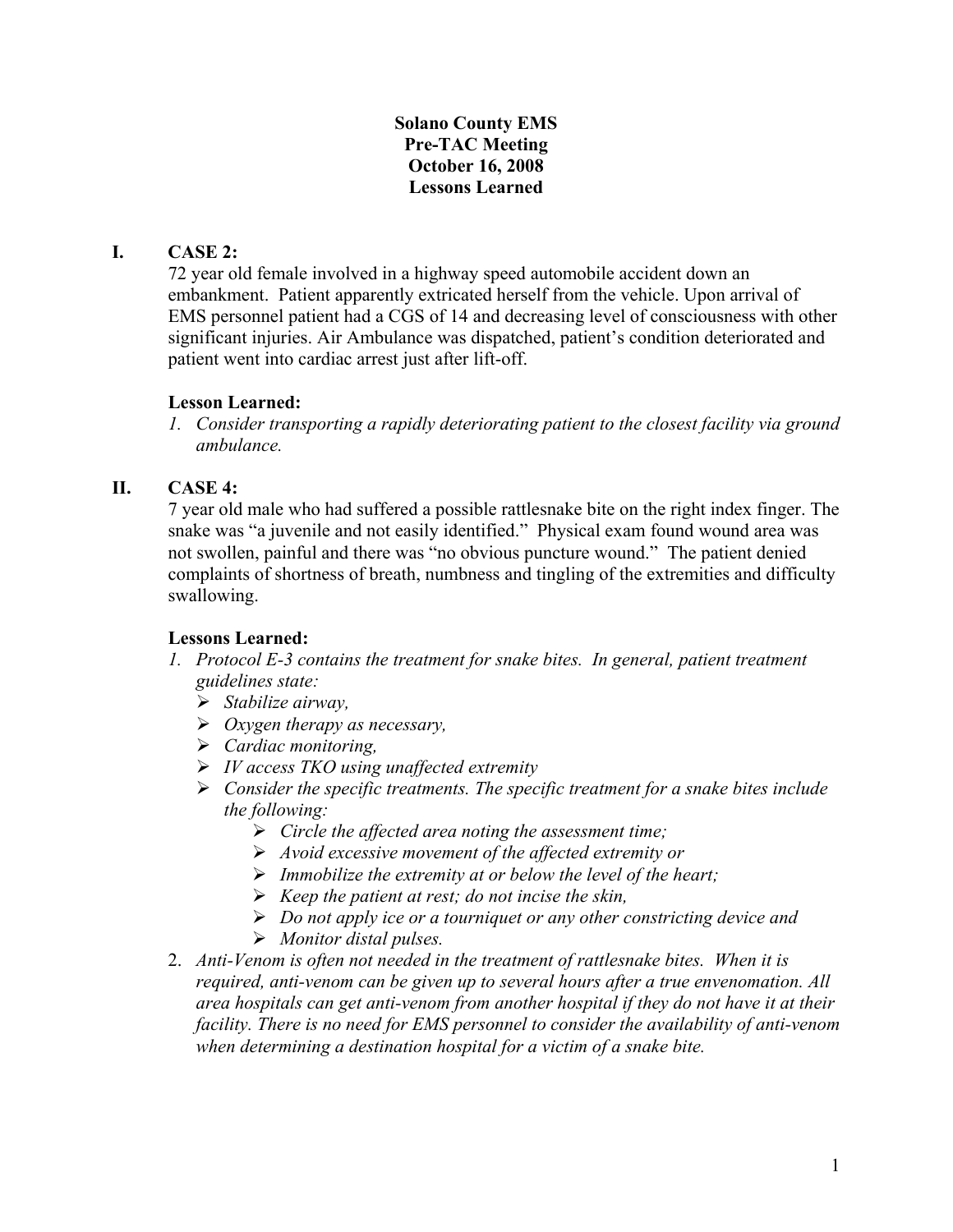#### **Solano County EMS Pre-TAC Meeting October 16, 2008 Lessons Learned**

### **I. CASE 2:**

72 year old female involved in a highway speed automobile accident down an embankment. Patient apparently extricated herself from the vehicle. Upon arrival of EMS personnel patient had a CGS of 14 and decreasing level of consciousness with other significant injuries. Air Ambulance was dispatched, patient's condition deteriorated and patient went into cardiac arrest just after lift-off.

#### **Lesson Learned:**

*1. Consider transporting a rapidly deteriorating patient to the closest facility via ground ambulance.* 

# **II. CASE 4:**

7 year old male who had suffered a possible rattlesnake bite on the right index finger. The snake was "a juvenile and not easily identified." Physical exam found wound area was not swollen, painful and there was "no obvious puncture wound." The patient denied complaints of shortness of breath, numbness and tingling of the extremities and difficulty swallowing.

# **Lessons Learned:**

- *1. Protocol E-3 contains the treatment for snake bites. In general, patient treatment guidelines state:* 
	- ¾ *Stabilize airway,*
	- ¾ *Oxygen therapy as necessary,*
	- ¾ *Cardiac monitoring,*
	- ¾ *IV access TKO using unaffected extremity*
	- ¾ *Consider the specific treatments. The specific treatment for a snake bites include the following:* 
		- ¾ *Circle the affected area noting the assessment time;*
		- ¾ *Avoid excessive movement of the affected extremity or*
		- ¾ *Immobilize the extremity at or below the level of the heart;*
		- ¾ *Keep the patient at rest; do not incise the skin,*
		- ¾ *Do not apply ice or a tourniquet or any other constricting device and*
		- ¾ *Monitor distal pulses.*
- 2. *Anti-Venom is often not needed in the treatment of rattlesnake bites. When it is required, anti-venom can be given up to several hours after a true envenomation. All area hospitals can get anti-venom from another hospital if they do not have it at their facility. There is no need for EMS personnel to consider the availability of anti-venom when determining a destination hospital for a victim of a snake bite.*